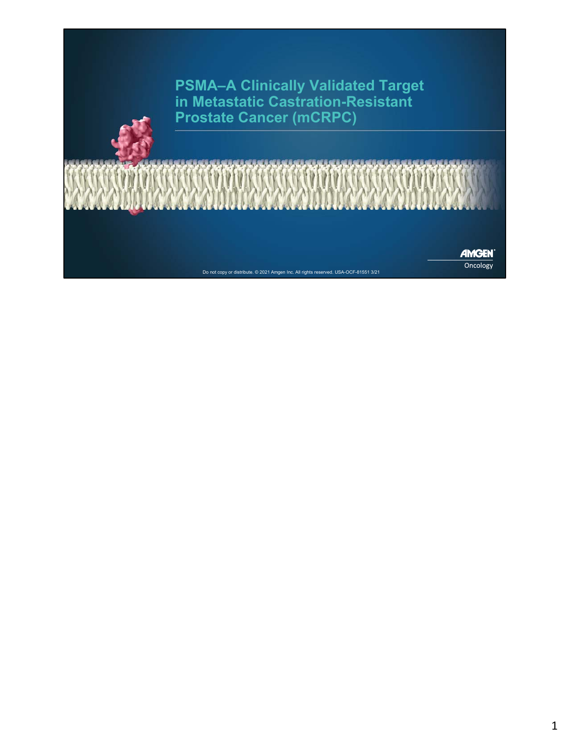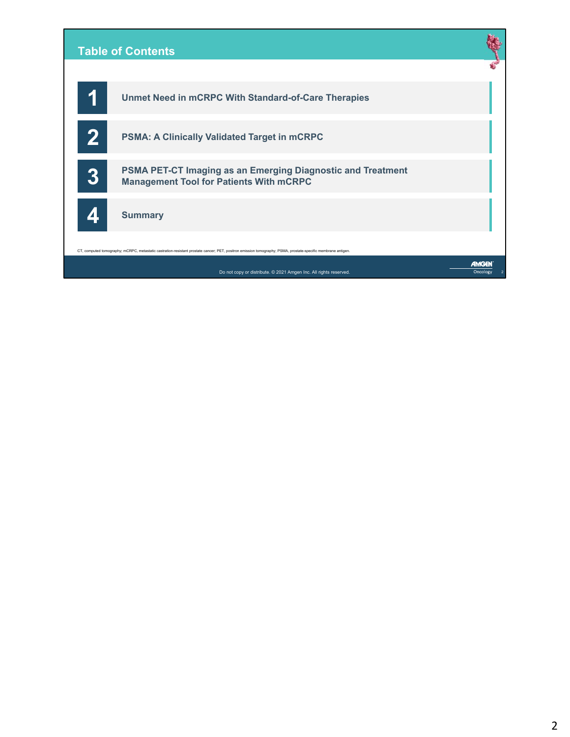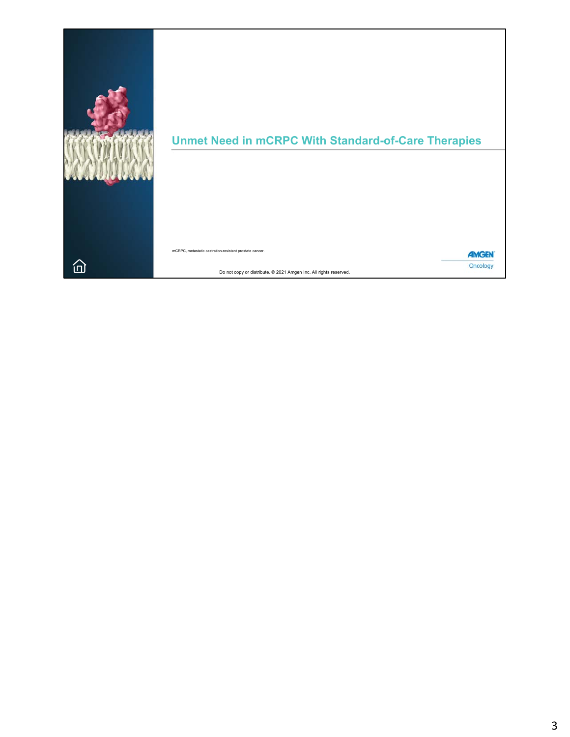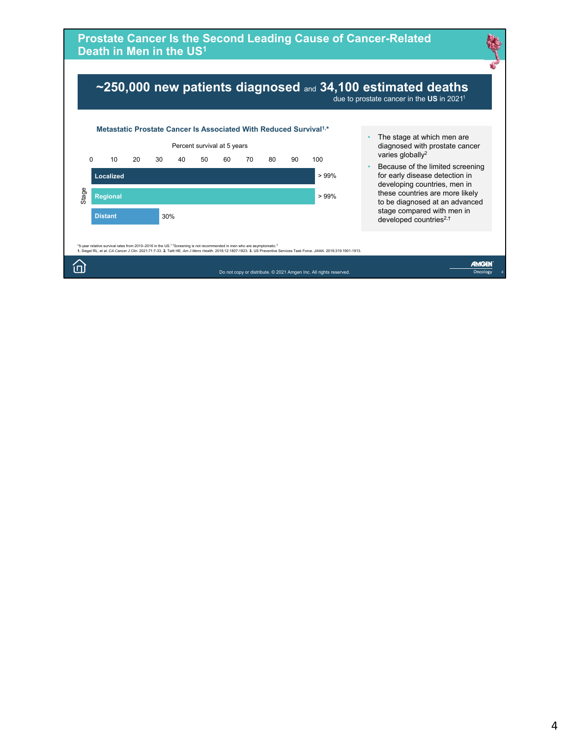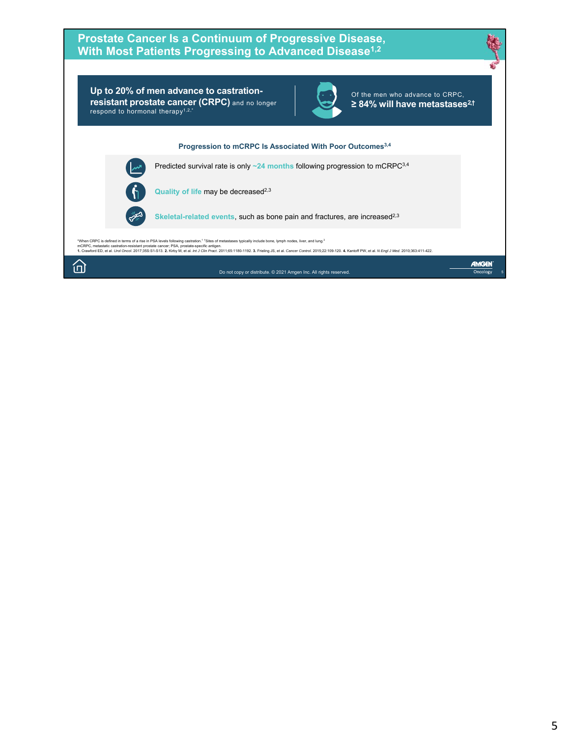# **Prostate Cancer Is a Continuum of Progressive Disease, With Most Patients Progressing to Advanced Disease1,2**

**Up to 20% of men advance to castrationresistant prostate cancer (CRPC)** and no longer respond to hormonal therapy1,2,\*



Of the men who advance to CRPC, **≥ 84% will have metastases2,†**

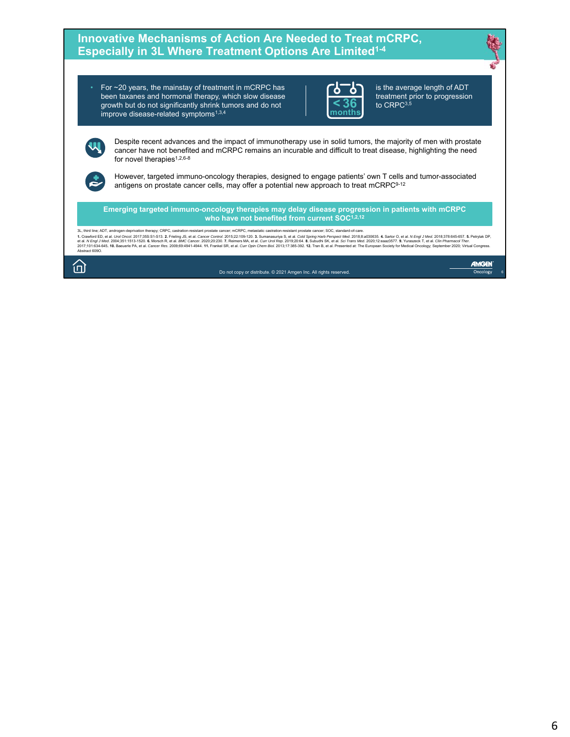

• For ~20 years, the mainstay of treatment in mCRPC has been taxanes and hormonal therapy, which slow disease growth but do not significantly shrink tumors and do not improve disease-related symptoms<sup>1,3,4</sup>



is the average length of ADT **6** treatment prior to progression<br>**6** to CRPC<sup>3,5</sup>

Despite recent advances and the impact of immunotherapy use in solid tumors, the majority of men with prostate cancer have not benefited and mCRPC remains an incurable and difficult to treat disease, highlighting the need for novel therapies<sup>1,2,6-8</sup>

However, targeted immuno-oncology therapies, designed to engage patients' own T cells and tumor-associated antigens on prostate cancer cells, may offer a potential new approach to treat mCRPC<sup>9-12</sup>

**Emerging targeted immuno-oncology therapies may delay disease progression in patients with mCRPC** who have not benefited from current SOC<sup>1,2,12</sup>

3L, third line; ADT, androgen-deprivation therapy; CRPC, castration-resistant prostate cancer; mCRPC, metastatic castration-resistant prostate cancer; SOC, standard-of-care. 1. Crawford ED, et al. Urol Oncod. 2017;35S:SI-S13. 2. Freling IS, et al. Cancer Conror. 2010: 22:109-120. 3. Sumanasurja S, et al. 2016/20178. He al. 2018;26:35. Samon Cast 2020;378:S. S. Barylak DP, Microsoft, D. 2018;20

íпì

W

Do not copy or distribute. © 2021 Amgen Inc. All rights reserved.

AMGEN Oncology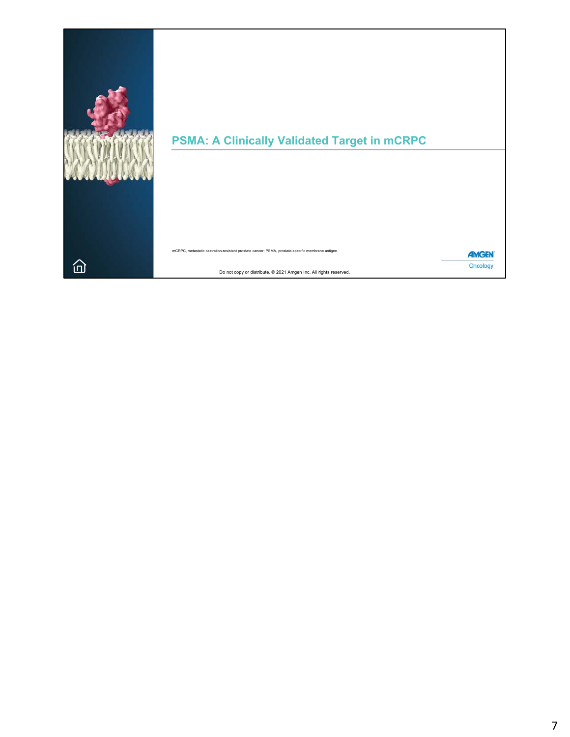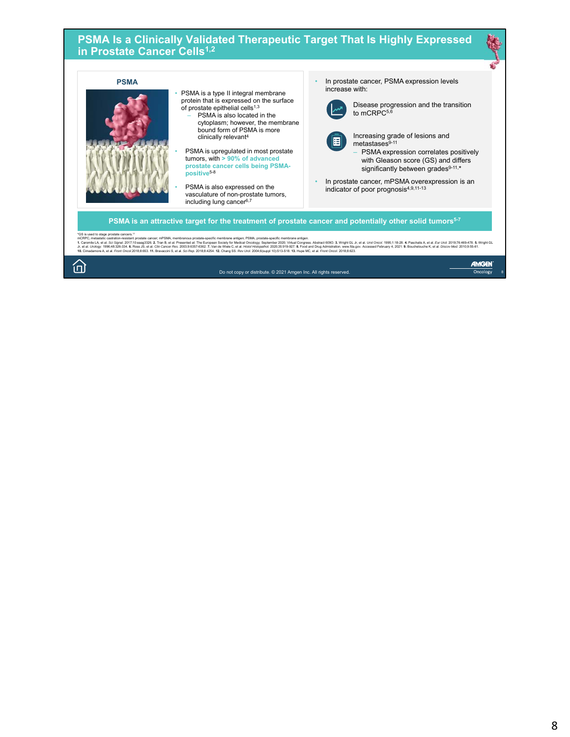#### **PSMA Is a Clinically Validated Therapeutic Target That Is Highly Expressed in Prostate Cancer Cells1,2**

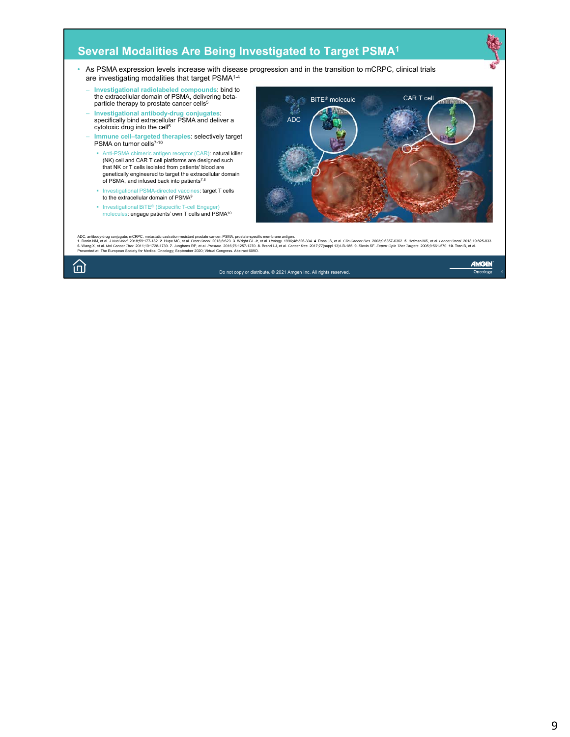# **Several Modalities Are Being Investigated to Target PSMA1**

- As PSMA expression levels increase with disease progression and in the transition to mCRPC, clinical trials are investigating modalities that target PSMA1-4
	- **Investigational radiolabeled compounds**: bind to the extracellular domain of PSMA, delivering betaparticle therapy to prostate cancer cells<sup>5</sup>
	- **Investigational antibody-drug conjugates**: specifically bind extracellular PSMA and deliver a cytotoxic drug into the cell<sup>6</sup>
	- **Immune cell–targeted therapies**: selectively target PSMA on tumor cells7-10
		- Anti-PSMA chimeric antigen receptor (CAR): natural killer (NK) cell and CAR T cell platforms are designed such that NK or T cells isolated from patients' blood are genetically engineered to target the extracellular domain of PSMA, and infused back into patients7,8
		- Investigational PSMA-directed vaccines: target T cells to the extracellular domain of PSMA9
		- **Investigational BiTE<sup>®</sup>** (Bispecific T-cell Engager) molecules: engage patients' own T cells and PSMA10



ADC, antibody-drug conjugate; mCRPC, metatatic castration-resistant prostate cancer, PSMA, prostate-specific membrane antigen.<br>1. Donin NM, et al. U/Michael 2018;59:17-182. 2. Hupe MC, et al. Front Oncol. 2018;76:1257-1270

Do not copy or distribute. © 2021 Amgen Inc. All rights reserved.

AMGEN Oncology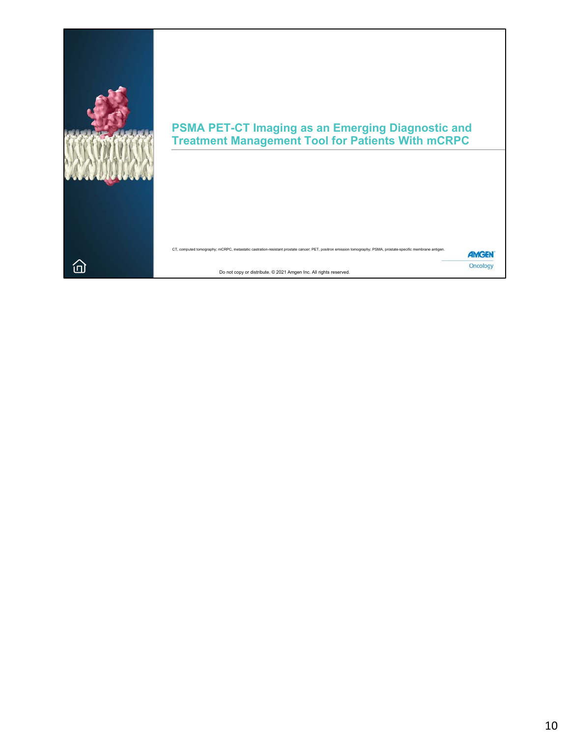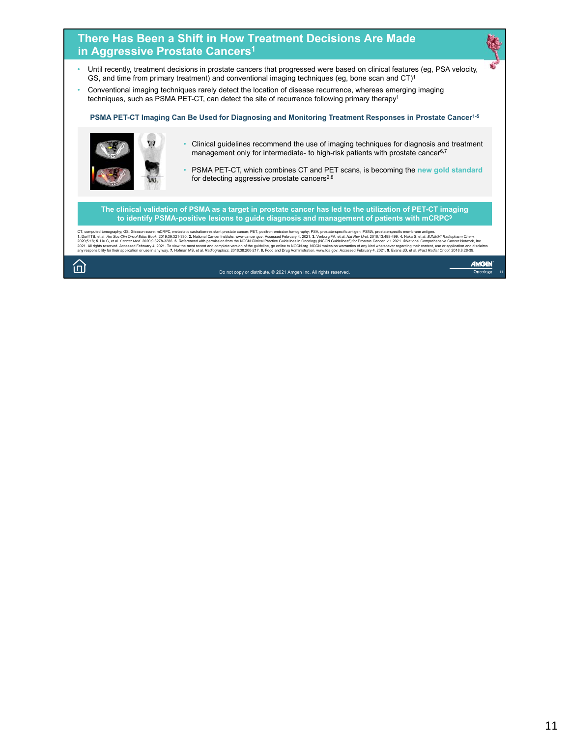# **There Has Been a Shift in How Treatment Decisions Are Made in Aggressive Prostate Cancers1**

- Until recently, treatment decisions in prostate cancers that progressed were based on clinical features (eg, PSA velocity, GS, and time from primary treatment) and conventional imaging techniques (eg, bone scan and CT)<sup>1</sup>
- Conventional imaging techniques rarely detect the location of disease recurrence, whereas emerging imaging techniques, such as PSMA PET-CT, can detect the site of recurrence following primary therapy<sup>1</sup>

**PSMA PET-CT Imaging Can Be Used for Diagnosing and Monitoring Treatment Responses in Prostate Cancer1-5**



- Clinical guidelines recommend the use of imaging techniques for diagnosis and treatment management only for intermediate- to high-risk patients with prostate cancer<sup>6,7</sup>
- PSMA PET-CT, which combines CT and PET scans, is becoming the **new gold standard**  for detecting aggressive prostate cancers<sup>2,8</sup>

**The clinical validation of PSMA as a target in prostate cancer has led to the utilization of PET-CT imaging to identify PSMA-positive lesions to guide diagnosis and management of patients with mCRPC9**

CT, computed tomography; GS, Gleason score; mCRPC, metastatic castration-resistant prostate carecy PET, positron emission from appropressed February 4, 2021. 3. Verburg PA, et al. Mar Rev L/D16:13:498-999.4. Nata S, et al.

́пì

Do not copy or distribute. © 2021 Amgen Inc. All rights reserved.

AMGEN Oncology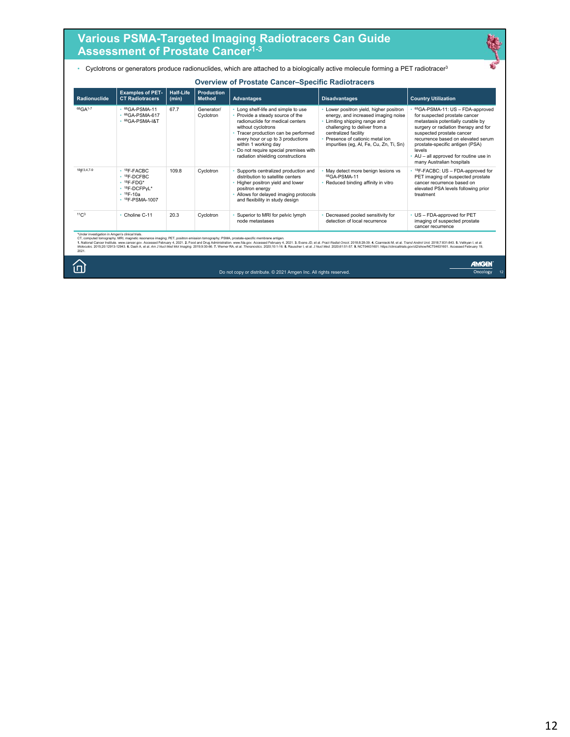# **Various PSMA-Targeted Imaging Radiotracers Can Guide Assessment of Prostate Cancer1-3**

• Cyclotrons or generators produce radionuclides, which are attached to a biologically active molecule forming a PET radiotracer3

| Radionuclide        | <b>Examples of PET-</b><br><b>CT Radiotracers</b>                                                                    | <b>Half-Life</b><br>(min) | <b>Production</b><br><b>Method</b> | <b>Advantages</b>                                                                                                                                                                                                                                                                                                 | <b>Disadvantages</b>                                                                                                                                                                                                                              | <b>Country Utilization</b>                                                                                                                                                                                                                                                                                                         |
|---------------------|----------------------------------------------------------------------------------------------------------------------|---------------------------|------------------------------------|-------------------------------------------------------------------------------------------------------------------------------------------------------------------------------------------------------------------------------------------------------------------------------------------------------------------|---------------------------------------------------------------------------------------------------------------------------------------------------------------------------------------------------------------------------------------------------|------------------------------------------------------------------------------------------------------------------------------------------------------------------------------------------------------------------------------------------------------------------------------------------------------------------------------------|
| 68GA <sup>1-7</sup> | $68$ GA-PSMA-11<br>• 68GA-PSMA-617<br>$\cdot$ 68GA-PSMA-I&T                                                          | 67.7                      | Generator/<br>Cyclotron            | Long shelf-life and simple to use<br>• Provide a steady source of the<br>radionuclide for medical centers<br>without cyclotrons<br>• Tracer production can be performed<br>every hour or up to 3 productions<br>within 1 working day<br>Do not require special premises with<br>radiation shielding constructions | Lower positron yield, higher positron<br>energy, and increased imaging noise<br>Limiting shipping range and<br>challenging to deliver from a<br>centralized facility<br>Presence of cationic metal ion<br>impurities (eg, Al, Fe, Cu, Zn, Ti, Sn) | 68GA-PSMA-11: US - FDA-approved<br>for suspected prostate cancer<br>metastasis potentially curable by<br>surgery or radiation therapy and for<br>suspected prostate cancer<br>recurrence based on elevated serum<br>prostate-specific antigen (PSA)<br>levels<br>AU - all approved for routine use in<br>many Australian hospitals |
| 18 = 3,4,7-9        | $• 18F-FACBC$<br>$• 18F-DCFBC$<br>$\cdot$ <sup>18</sup> F-FDG*<br>· 18F-DCFPvL*<br>$• 18F-10a$<br>$+ 18$ F-PSMA-1007 | 109.8                     | Cyclotron                          | Supports centralized production and<br>distribution to satellite centers<br>Higher positron yield and lower<br>positron energy<br>Allows for delayed imaging protocols<br>and flexibility in study design                                                                                                         | May detect more benign lesions vs<br>68GA-PSMA-11<br>Reduced binding affinity in vitro                                                                                                                                                            | <sup>18</sup> F-FACBC: US - FDA-approved for<br>PET imaging of suspected prostate<br>cancer recurrence based on<br>elevated PSA levels following prior<br>treatment                                                                                                                                                                |
| 11C <sub>3</sub>    | • Choline C-11                                                                                                       | 20.3                      | Cyclotron                          | Superior to MRI for pelvic lymph<br>node metastases                                                                                                                                                                                                                                                               | Decreased pooled sensitivity for<br>detection of local recurrence                                                                                                                                                                                 | US - FDA-approved for PET<br>imaging of suspected prostate<br>cancer recurrence                                                                                                                                                                                                                                                    |

Do not copy or distribute. © 2021 Amgen Inc. All rights reserved.

Oncology 12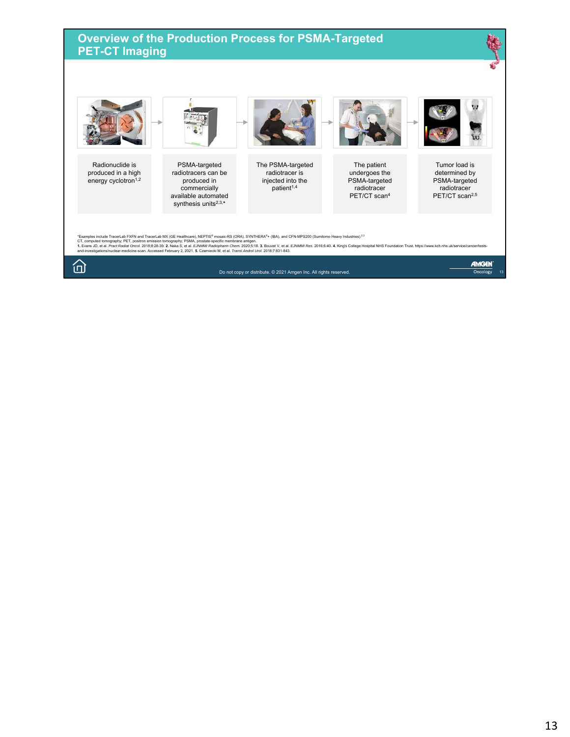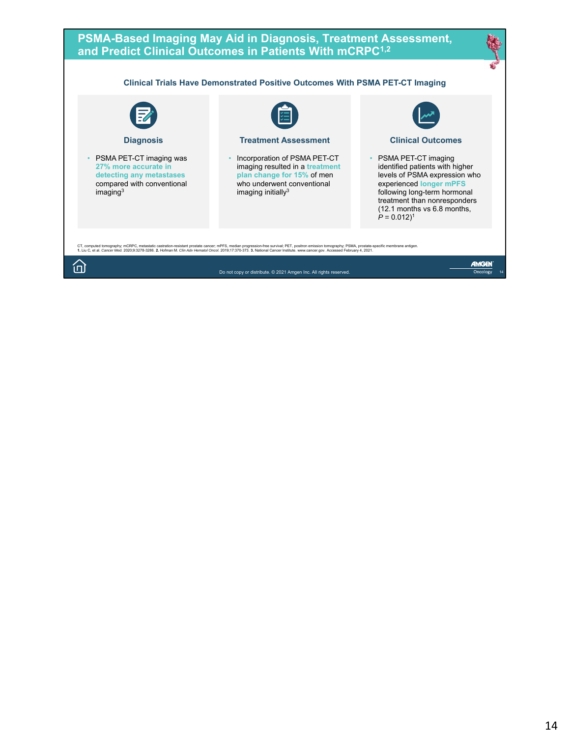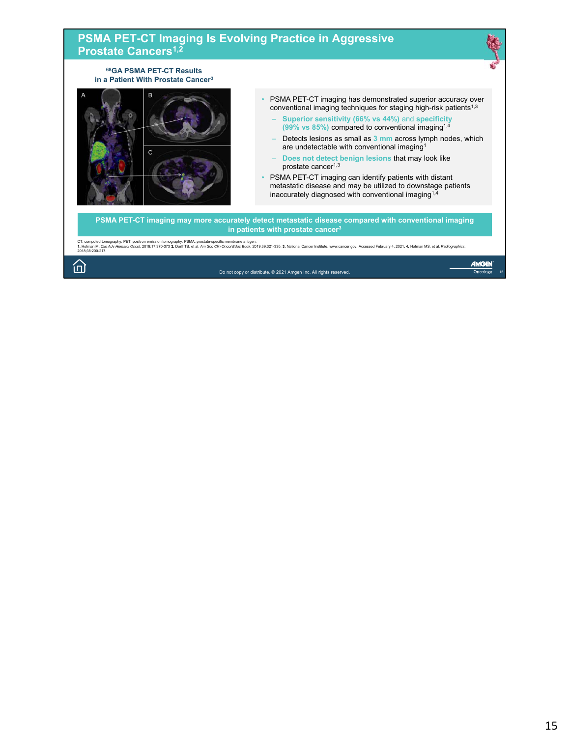#### **PSMA PET-CT Imaging Is Evolving Practice in Aggressive Prostate Cancers1,2 68GA PSMA PET-CT Results in a Patient With Prostate Cancer3** P • PSMA PET-CT imaging has demonstrated superior accuracy over conventional imaging techniques for staging high-risk patients<sup>1,3</sup> – **Superior sensitivity (66% vs 44%)** and **specificity (99% vs 85%)** compared to conventional imaging1,4 – Detects lesions as small as **3 mm** across lymph nodes, which are undetectable with conventional imaging1  $\mathbf{C}$ – **Does not detect benign lesions** that may look like prostate cancer<sup>1,3</sup> • PSMA PET-CT imaging can identify patients with distant metastatic disease and may be utilized to downstage patients inaccurately diagnosed with conventional imaging1,4 **PSMA PET-CT imaging may more accurately detect metastatic disease compared with conventional imaging in patients with prostate cancer3** CT, computed tomography; PET, positron emission tomography; PSMA, prostate-specific membrane antigen.<br>1. Hofman M. Cilin *Adv Hematol Oncol.* 2019;17:370-373 2. Dorff TB, et al. *Am Soc Clin Oncol Educ Book.* 2019;39:321-3 AMGEN 问 Do not copy or distribute. © 2021 Amgen Inc. All rights reserved. Oncology 15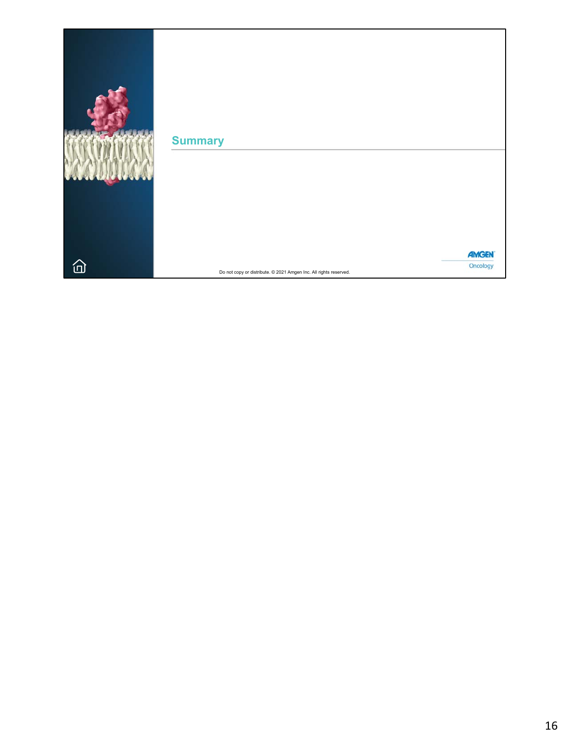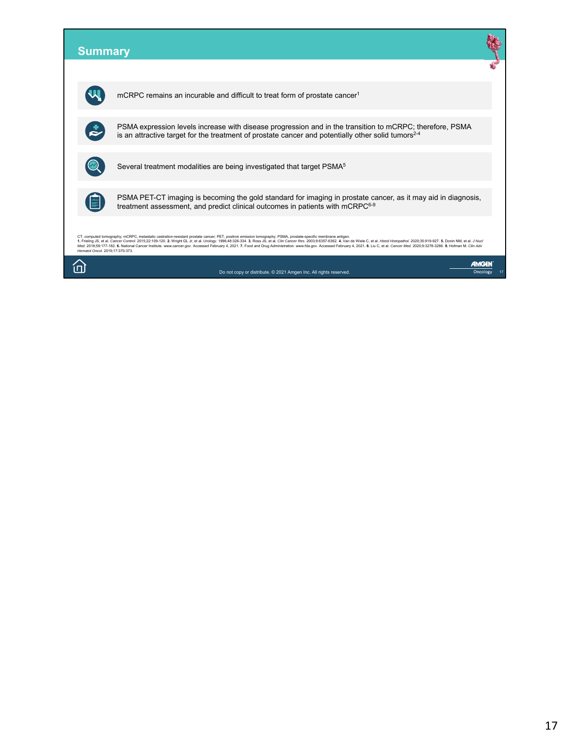| <b>Summary</b>                  |                                                                                                                                                                                                                                                                                                                                                                                                                                                                                                                                                                                                                                   |          |
|---------------------------------|-----------------------------------------------------------------------------------------------------------------------------------------------------------------------------------------------------------------------------------------------------------------------------------------------------------------------------------------------------------------------------------------------------------------------------------------------------------------------------------------------------------------------------------------------------------------------------------------------------------------------------------|----------|
|                                 |                                                                                                                                                                                                                                                                                                                                                                                                                                                                                                                                                                                                                                   |          |
|                                 | mCRPC remains an incurable and difficult to treat form of prostate cancer <sup>1</sup>                                                                                                                                                                                                                                                                                                                                                                                                                                                                                                                                            |          |
|                                 | PSMA expression levels increase with disease progression and in the transition to mCRPC; therefore, PSMA<br>is an attractive target for the treatment of prostate cancer and potentially other solid tumors <sup>2-4</sup>                                                                                                                                                                                                                                                                                                                                                                                                        |          |
|                                 | Several treatment modalities are being investigated that target PSMA <sup>5</sup>                                                                                                                                                                                                                                                                                                                                                                                                                                                                                                                                                 |          |
|                                 | PSMA PET-CT imaging is becoming the gold standard for imaging in prostate cancer, as it may aid in diagnosis,<br>treatment assessment, and predict clinical outcomes in patients with mCRPC6-9                                                                                                                                                                                                                                                                                                                                                                                                                                    |          |
| Hematol Oncol. 2019;17:370-373. | CT, computed tomography; mCRPC, metastatic castration-resistant prostate cancer; PET, positron emission tomography; PSMA, prostate-specific membrane antigen.<br>1. Frieling JS, et al. Cancer Control. 2015;22:109-120. 2. Wright GL Jr, et al. Urology. 1996;48:326-334. 3. Ross JS, et al. Clin Cancer Res. 2003;9:6357-6362. 4. Van de Wiele C, et al. Histol Histopathol. 2020;35:919-927.<br>Med. 2018;59:177-182. 6. National Cancer Institute. www.cancer.gov. Accessed February 4, 2021. 7. Food and Drug Administration. www.fda.gov. Accessed February 4, 2021. 8. Liu C, et al. Cancer Med. 2020;9:3278-3286. 9. Hofm |          |
|                                 | Do not copy or distribute. © 2021 Amgen Inc. All rights reserved                                                                                                                                                                                                                                                                                                                                                                                                                                                                                                                                                                  | Oncology |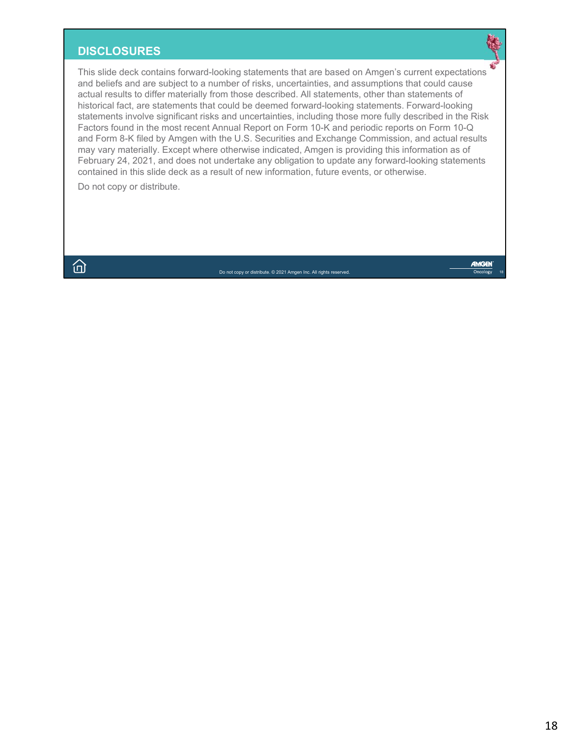# **DISCLOSURES**

This slide deck contains forward-looking statements that are based on Amgen's current expectations and beliefs and are subject to a number of risks, uncertainties, and assumptions that could cause actual results to differ materially from those described. All statements, other than statements of historical fact, are statements that could be deemed forward-looking statements. Forward-looking statements involve significant risks and uncertainties, including those more fully described in the Risk Factors found in the most recent Annual Report on Form 10-K and periodic reports on Form 10-Q and Form 8-K filed by Amgen with the U.S. Securities and Exchange Commission, and actual results may vary materially. Except where otherwise indicated, Amgen is providing this information as of February 24, 2021, and does not undertake any obligation to update any forward-looking statements contained in this slide deck as a result of new information, future events, or otherwise.

Do not copy or distribute.

 $\bigcap$ 

Do not copy or distribute. © 2021 Amgen Inc. All rights reserved.

**AMGEN**  $Oncolop$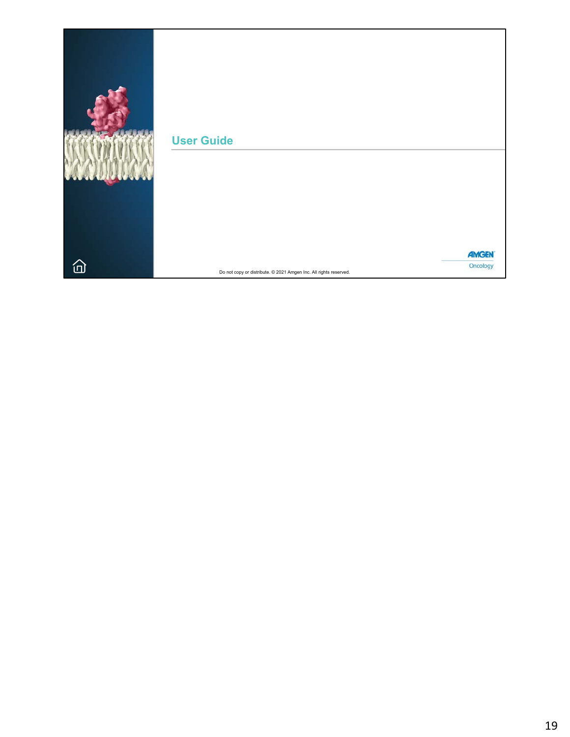